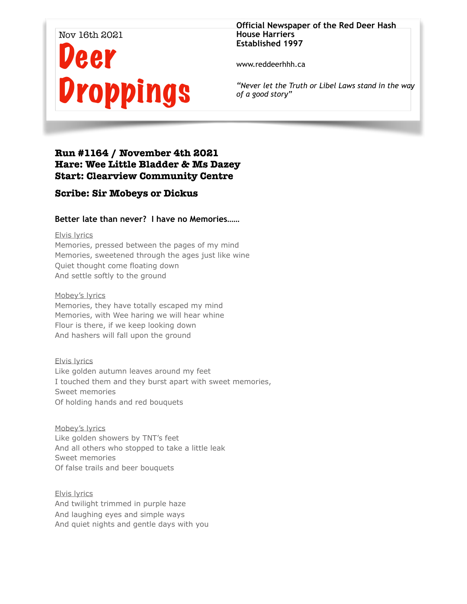# Nov 16th 2021 Deer **Droppings**

### **Official Newspaper of the Red Deer Hash House Harriers Established 1997**

www.reddeerhhh.ca

*"Never let the Truth or Libel Laws stand in the way of a good story"*

## **Run #1164 / November 4th 2021 Hare: Wee Little Bladder & Ms Dazey Start: Clearview Community Centre**

## **Scribe: Sir Mobeys or Dickus**

## **Better late than never? I have no Memories……**

Elvis lyrics Memories, pressed between the pages of my mind Memories, sweetened through the ages just like wine Quiet thought come floating down And settle softly to the ground

Mobey's lyrics Memories, they have totally escaped my mind Memories, with Wee haring we will hear whine Flour is there, if we keep looking down And hashers will fall upon the ground

Elvis lyrics Like golden autumn leaves around my feet I touched them and they burst apart with sweet memories, Sweet memories Of holding hands and red bouquets

Mobey's lyrics Like golden showers by TNT's feet And all others who stopped to take a little leak Sweet memories Of false trails and beer bouquets

Elvis lyrics And twilight trimmed in purple haze And laughing eyes and simple ways And quiet nights and gentle days with you